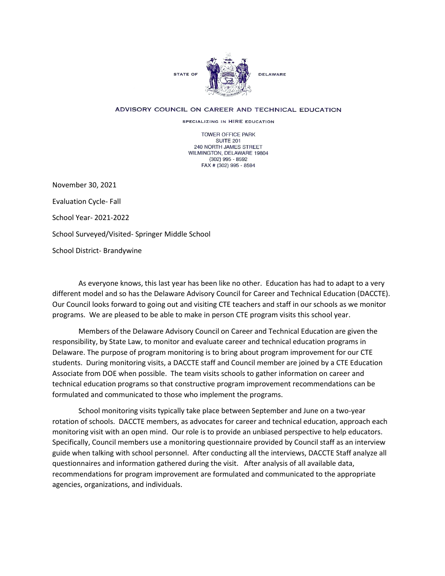

## ADVISORY COUNCIL ON CAREER AND TECHNICAL EDUCATION

SPECIALIZING IN HIRE EDUCATION

TOWER OFFICE PARK SUITE 201 240 NORTH JAMES STREET WILMINGTON, DELAWARE 19804 (302) 995 - 8592 FAX # (302) 995 - 8594

November 30, 2021 Evaluation Cycle- Fall School Year- 2021-2022 School Surveyed/Visited- Springer Middle School School District- Brandywine

As everyone knows, this last year has been like no other. Education has had to adapt to a very different model and so has the Delaware Advisory Council for Career and Technical Education (DACCTE). Our Council looks forward to going out and visiting CTE teachers and staff in our schools as we monitor programs. We are pleased to be able to make in person CTE program visits this school year.

Members of the Delaware Advisory Council on Career and Technical Education are given the responsibility, by State Law, to monitor and evaluate career and technical education programs in Delaware. The purpose of program monitoring is to bring about program improvement for our CTE students. During monitoring visits, a DACCTE staff and Council member are joined by a CTE Education Associate from DOE when possible. The team visits schools to gather information on career and technical education programs so that constructive program improvement recommendations can be formulated and communicated to those who implement the programs.

School monitoring visits typically take place between September and June on a two-year rotation of schools. DACCTE members, as advocates for career and technical education, approach each monitoring visit with an open mind. Our role is to provide an unbiased perspective to help educators. Specifically, Council members use a monitoring questionnaire provided by Council staff as an interview guide when talking with school personnel. After conducting all the interviews, DACCTE Staff analyze all questionnaires and information gathered during the visit. After analysis of all available data, recommendations for program improvement are formulated and communicated to the appropriate agencies, organizations, and individuals.